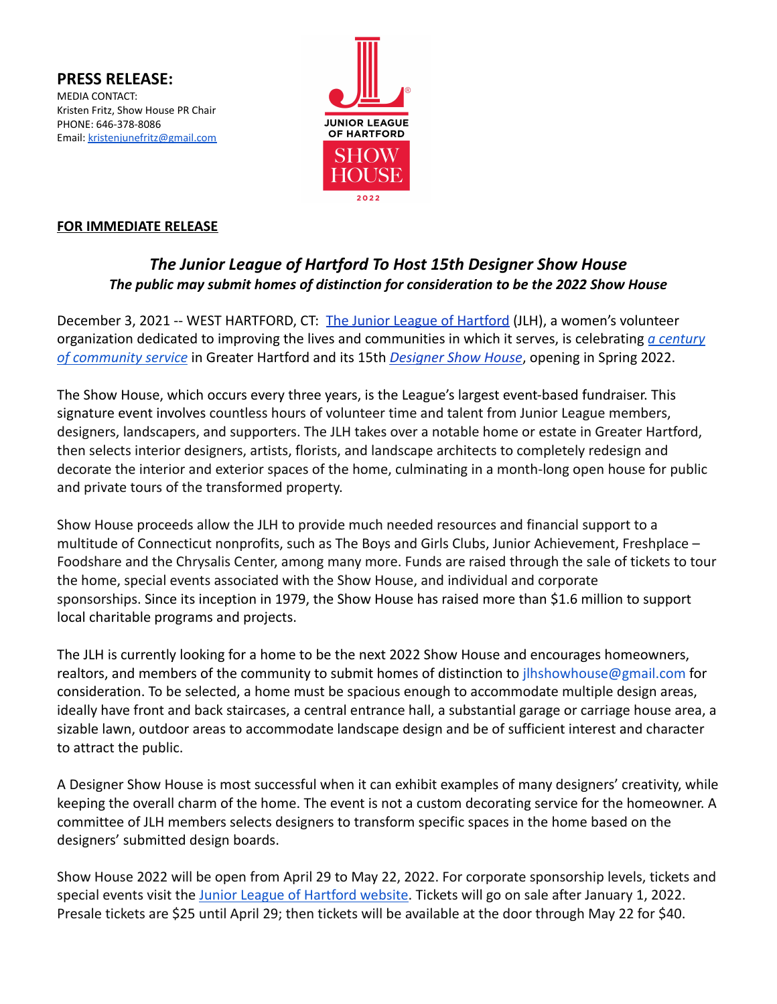**PRESS RELEASE:** MEDIA CONTACT: Kristen Fritz, Show House PR Chair PHONE: 646-378-8086 Email: [kristenjunefritz@gmail.com](mailto:kristenjunefritz@gmail.com)



## **FOR IMMEDIATE RELEASE**

## *The Junior League of Hartford To Host 15th Designer Show House The public may submit homes of distinction for consideration to be the 2022 Show House*

December 3, 2021 -- WEST HARTFORD, CT: The Junior [League of Hartford](https://www.jlhartford.org) (JLH), a women's volunteer organization dedicated to improving the lives and communities in which it serves, is celebrating *[a century](https://www.yumpu.com/en/document/read/65695099/2021-league-lines) [of community service](https://www.yumpu.com/en/document/read/65695099/2021-league-lines)* in Greater Hartford and its 15th *[Designer Show House](https://www.jlhartford.org/support/fundraising/show-house-2022/)*, opening in Spring 2022.

The Show House, which occurs every three years, is the League's largest event-based fundraiser. This signature event involves countless hours of volunteer time and talent from Junior League members, designers, landscapers, and supporters. The JLH takes over a notable home or estate in Greater Hartford, then selects interior designers, artists, florists, and landscape architects to completely redesign and decorate the interior and exterior spaces of the home, culminating in a month-long open house for public and private tours of the transformed property.

Show House proceeds allow the JLH to provide much needed resources and financial support to a multitude of Connecticut nonprofits, such as The Boys and Girls Clubs, Junior Achievement, Freshplace – Foodshare and the Chrysalis Center, among many more. Funds are raised through the sale of tickets to tour the home, special events associated with the Show House, and individual and corporate sponsorships. Since its inception in 1979, the Show House has raised more than \$1.6 million to support local charitable programs and projects.

The JLH is currently looking for a home to be the next 2022 Show House and encourages homeowners, realtors, and members of the community to submit homes of distinction to jlhshowhouse@gmail.com for consideration. To be selected, a home must be spacious enough to accommodate multiple design areas, ideally have front and back staircases, a central entrance hall, a substantial garage or carriage house area, a sizable lawn, outdoor areas to accommodate landscape design and be of sufficient interest and character to attract the public.

A Designer Show House is most successful when it can exhibit examples of many designers' creativity, while keeping the overall charm of the home. The event is not a custom decorating service for the homeowner. A committee of JLH members selects designers to transform specific spaces in the home based on the designers' submitted design boards.

Show House 2022 will be open from April 29 to May 22, 2022. For corporate sponsorship levels, tickets and special events visit the [Junior League of Hartford](https://www.jlhartford.org/support/fundraising/show-house-2022/) website. Tickets will go on sale after January 1, 2022. Presale tickets are \$25 until April 29; then tickets will be available at the door through May 22 for \$40.